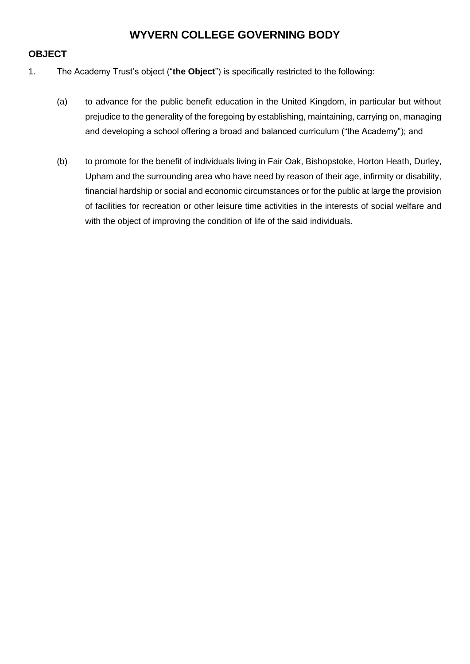# **WYVERN COLLEGE GOVERNING BODY**

### **OBJECT**

- 1. The Academy Trust's object ("**the Object**") is specifically restricted to the following:
	- (a) to advance for the public benefit education in the United Kingdom, in particular but without prejudice to the generality of the foregoing by establishing, maintaining, carrying on, managing and developing a school offering a broad and balanced curriculum ("the Academy"); and
	- (b) to promote for the benefit of individuals living in Fair Oak, Bishopstoke, Horton Heath, Durley, Upham and the surrounding area who have need by reason of their age, infirmity or disability, financial hardship or social and economic circumstances or for the public at large the provision of facilities for recreation or other leisure time activities in the interests of social welfare and with the object of improving the condition of life of the said individuals.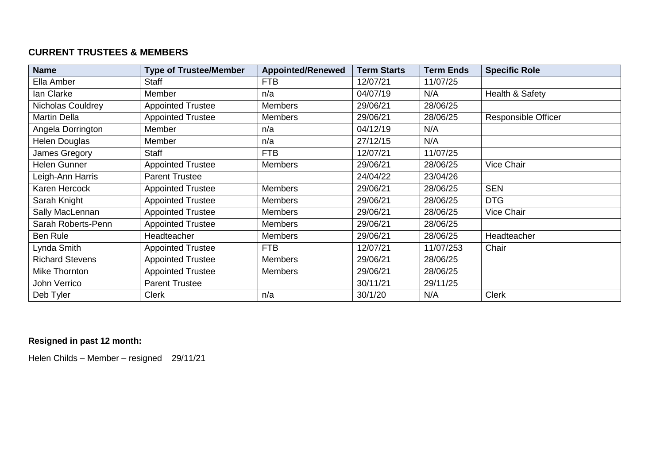## **CURRENT TRUSTEES & MEMBERS**

| <b>Name</b>            | <b>Type of Trustee/Member</b> | <b>Appointed/Renewed</b> | <b>Term Starts</b> | <b>Term Ends</b> | <b>Specific Role</b>       |
|------------------------|-------------------------------|--------------------------|--------------------|------------------|----------------------------|
| Ella Amber             | <b>Staff</b>                  | <b>FTB</b>               | 12/07/21           | 11/07/25         |                            |
| lan Clarke             | Member                        | n/a                      | 04/07/19           | N/A              | Health & Safety            |
| Nicholas Couldrey      | <b>Appointed Trustee</b>      | <b>Members</b>           | 29/06/21           | 28/06/25         |                            |
| <b>Martin Della</b>    | <b>Appointed Trustee</b>      | <b>Members</b>           | 29/06/21           | 28/06/25         | <b>Responsible Officer</b> |
| Angela Dorrington      | Member                        | n/a                      | 04/12/19           | N/A              |                            |
| Helen Douglas          | Member                        | n/a                      | 27/12/15           | N/A              |                            |
| James Gregory          | <b>Staff</b>                  | <b>FTB</b>               | 12/07/21           | 11/07/25         |                            |
| Helen Gunner           | <b>Appointed Trustee</b>      | <b>Members</b>           | 29/06/21           | 28/06/25         | Vice Chair                 |
| Leigh-Ann Harris       | <b>Parent Trustee</b>         |                          | 24/04/22           | 23/04/26         |                            |
| Karen Hercock          | <b>Appointed Trustee</b>      | <b>Members</b>           | 29/06/21           | 28/06/25         | <b>SEN</b>                 |
| Sarah Knight           | <b>Appointed Trustee</b>      | <b>Members</b>           | 29/06/21           | 28/06/25         | <b>DTG</b>                 |
| Sally MacLennan        | <b>Appointed Trustee</b>      | <b>Members</b>           | 29/06/21           | 28/06/25         | <b>Vice Chair</b>          |
| Sarah Roberts-Penn     | <b>Appointed Trustee</b>      | <b>Members</b>           | 29/06/21           | 28/06/25         |                            |
| <b>Ben Rule</b>        | Headteacher                   | <b>Members</b>           | 29/06/21           | 28/06/25         | Headteacher                |
| Lynda Smith            | <b>Appointed Trustee</b>      | <b>FTB</b>               | 12/07/21           | 11/07/253        | Chair                      |
| <b>Richard Stevens</b> | <b>Appointed Trustee</b>      | <b>Members</b>           | 29/06/21           | 28/06/25         |                            |
| Mike Thornton          | <b>Appointed Trustee</b>      | <b>Members</b>           | 29/06/21           | 28/06/25         |                            |
| John Verrico           | <b>Parent Trustee</b>         |                          | 30/11/21           | 29/11/25         |                            |
| Deb Tyler              | <b>Clerk</b>                  | n/a                      | 30/1/20            | N/A              | <b>Clerk</b>               |

### **Resigned in past 12 month:**

Helen Childs – Member – resigned 29/11/21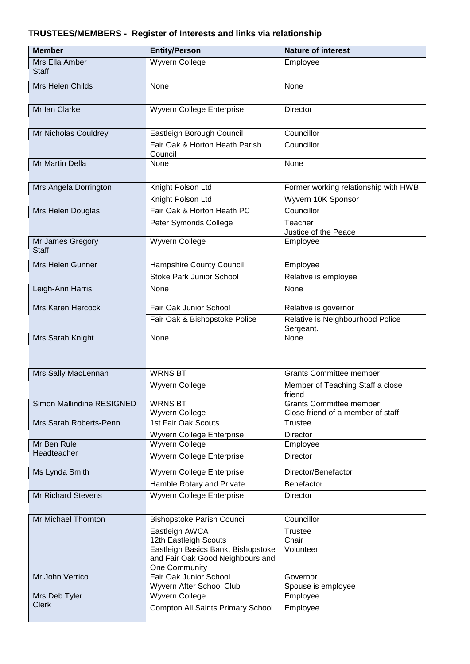## **TRUSTEES/MEMBERS - Register of Interests and links via relationship**

| <b>Member</b>                    | <b>Entity/Person</b>                                        | <b>Nature of interest</b>                                           |  |  |
|----------------------------------|-------------------------------------------------------------|---------------------------------------------------------------------|--|--|
| Mrs Ella Amber<br><b>Staff</b>   | Wyvern College                                              | Employee                                                            |  |  |
| Mrs Helen Childs                 | None                                                        | None                                                                |  |  |
| Mr Ian Clarke                    | Wyvern College Enterprise                                   | Director                                                            |  |  |
| Mr Nicholas Couldrey             | Eastleigh Borough Council                                   | Councillor                                                          |  |  |
|                                  | Fair Oak & Horton Heath Parish<br>Council                   | Councillor                                                          |  |  |
| Mr Martin Della                  | None                                                        | None                                                                |  |  |
| Mrs Angela Dorrington            | Knight Polson Ltd                                           | Former working relationship with HWB                                |  |  |
|                                  | Knight Polson Ltd                                           | Wyvern 10K Sponsor                                                  |  |  |
| Mrs Helen Douglas                | Fair Oak & Horton Heath PC                                  | Councillor                                                          |  |  |
|                                  | Peter Symonds College                                       | Teacher<br>Justice of the Peace                                     |  |  |
| Mr James Gregory<br><b>Staff</b> | <b>Wyvern College</b>                                       | Employee                                                            |  |  |
| Mrs Helen Gunner                 | Hampshire County Council                                    | Employee                                                            |  |  |
|                                  | <b>Stoke Park Junior School</b>                             | Relative is employee                                                |  |  |
| Leigh-Ann Harris                 | None                                                        | None                                                                |  |  |
| <b>Mrs Karen Hercock</b>         | Fair Oak Junior School                                      | Relative is governor                                                |  |  |
|                                  | Fair Oak & Bishopstoke Police                               | Relative is Neighbourhood Police<br>Sergeant.                       |  |  |
| Mrs Sarah Knight                 | None                                                        | None                                                                |  |  |
| Mrs Sally MacLennan              | <b>WRNS BT</b>                                              | <b>Grants Committee member</b>                                      |  |  |
|                                  | Wyvern College                                              | Member of Teaching Staff a close<br>friend                          |  |  |
| <b>Simon Mallindine RESIGNED</b> | <b>WRNS BT</b><br>Wyvern College                            | <b>Grants Committee member</b><br>Close friend of a member of staff |  |  |
| Mrs Sarah Roberts-Penn           | 1st Fair Oak Scouts                                         | Trustee                                                             |  |  |
|                                  | Wyvern College Enterprise                                   | <b>Director</b>                                                     |  |  |
| Mr Ben Rule                      | <b>Wyvern College</b>                                       | Employee                                                            |  |  |
| Headteacher                      | Wyvern College Enterprise                                   | Director                                                            |  |  |
| Ms Lynda Smith                   | Wyvern College Enterprise                                   | Director/Benefactor                                                 |  |  |
|                                  | Hamble Rotary and Private                                   | Benefactor                                                          |  |  |
| <b>Mr Richard Stevens</b>        | Wyvern College Enterprise                                   | Director                                                            |  |  |
| Mr Michael Thornton              | <b>Bishopstoke Parish Council</b>                           | Councillor                                                          |  |  |
|                                  | Eastleigh AWCA                                              | <b>Trustee</b>                                                      |  |  |
|                                  | 12th Eastleigh Scouts<br>Eastleigh Basics Bank, Bishopstoke | Chair<br>Volunteer                                                  |  |  |
|                                  | and Fair Oak Good Neighbours and<br>One Community           |                                                                     |  |  |
| Mr John Verrico                  | Fair Oak Junior School<br>Wyvern After School Club          | Governor                                                            |  |  |
| Mrs Deb Tyler                    | <b>Wyvern College</b>                                       | Spouse is employee<br>Employee                                      |  |  |
| <b>Clerk</b>                     | Compton All Saints Primary School                           | Employee                                                            |  |  |
|                                  |                                                             |                                                                     |  |  |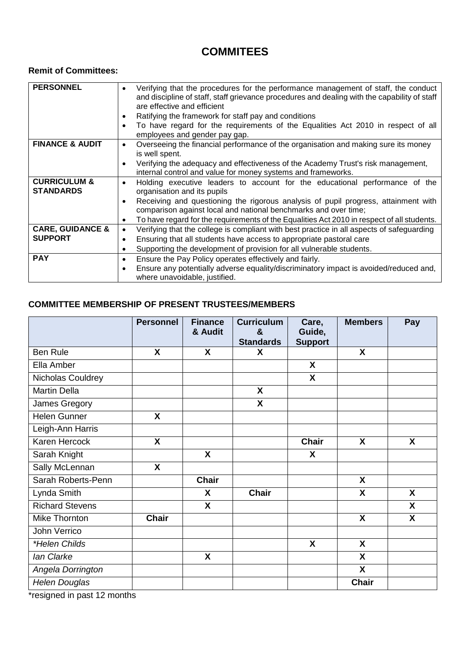# **COMMITEES**

### **Remit of Committees:**

| <b>PERSONNEL</b>            | Verifying that the procedures for the performance management of staff, the conduct<br>٠<br>and discipline of staff, staff grievance procedures and dealing with the capability of staff |
|-----------------------------|-----------------------------------------------------------------------------------------------------------------------------------------------------------------------------------------|
|                             | are effective and efficient                                                                                                                                                             |
|                             |                                                                                                                                                                                         |
|                             | Ratifying the framework for staff pay and conditions<br>٠                                                                                                                               |
|                             | To have regard for the requirements of the Equalities Act 2010 in respect of all<br>$\bullet$                                                                                           |
|                             | employees and gender pay gap.                                                                                                                                                           |
| <b>FINANCE &amp; AUDIT</b>  | Overseeing the financial performance of the organisation and making sure its money<br>$\bullet$                                                                                         |
|                             | is well spent.                                                                                                                                                                          |
|                             | Verifying the adequacy and effectiveness of the Academy Trust's risk management,<br>$\bullet$                                                                                           |
|                             | internal control and value for money systems and frameworks.                                                                                                                            |
| <b>CURRICULUM &amp;</b>     | Holding executive leaders to account for the educational performance of the<br>٠                                                                                                        |
| <b>STANDARDS</b>            | organisation and its pupils                                                                                                                                                             |
|                             | Receiving and questioning the rigorous analysis of pupil progress, attainment with<br>$\bullet$                                                                                         |
|                             | comparison against local and national benchmarks and over time;                                                                                                                         |
|                             | To have regard for the requirements of the Equalities Act 2010 in respect of all students.<br>٠                                                                                         |
| <b>CARE, GUIDANCE &amp;</b> | Verifying that the college is compliant with best practice in all aspects of safeguarding<br>$\bullet$                                                                                  |
| <b>SUPPORT</b>              |                                                                                                                                                                                         |
|                             | Ensuring that all students have access to appropriate pastoral care<br>٠                                                                                                                |
|                             | Supporting the development of provision for all vulnerable students.<br>٠                                                                                                               |
| <b>PAY</b>                  | Ensure the Pay Policy operates effectively and fairly.<br>٠                                                                                                                             |
|                             | Ensure any potentially adverse equality/discriminatory impact is avoided/reduced and,<br>$\bullet$                                                                                      |
|                             | where unavoidable, justified.                                                                                                                                                           |
|                             |                                                                                                                                                                                         |

#### **COMMITTEE MEMBERSHIP OF PRESENT TRUSTEES/MEMBERS**

|                        | <b>Personnel</b>          | <b>Finance</b><br>& Audit | <b>Curriculum</b><br>& | Care,<br>Guide, | <b>Members</b>            | Pay              |
|------------------------|---------------------------|---------------------------|------------------------|-----------------|---------------------------|------------------|
|                        |                           |                           | <b>Standards</b>       | <b>Support</b>  |                           |                  |
| <b>Ben Rule</b>        | X                         | X                         | X                      |                 | $\mathsf{X}$              |                  |
| Ella Amber             |                           |                           |                        | X               |                           |                  |
| Nicholas Couldrey      |                           |                           |                        | $\mathsf{x}$    |                           |                  |
| <b>Martin Della</b>    |                           |                           | X                      |                 |                           |                  |
| James Gregory          |                           |                           | X                      |                 |                           |                  |
| <b>Helen Gunner</b>    | X                         |                           |                        |                 |                           |                  |
| Leigh-Ann Harris       |                           |                           |                        |                 |                           |                  |
| Karen Hercock          | $\mathsf{X}$              |                           |                        | <b>Chair</b>    | $\boldsymbol{\mathsf{X}}$ | $\boldsymbol{X}$ |
| Sarah Knight           |                           | $\boldsymbol{X}$          |                        | X               |                           |                  |
| Sally McLennan         | $\boldsymbol{\mathsf{X}}$ |                           |                        |                 |                           |                  |
| Sarah Roberts-Penn     |                           | <b>Chair</b>              |                        |                 | $\boldsymbol{\mathsf{X}}$ |                  |
| Lynda Smith            |                           | X                         | <b>Chair</b>           |                 | $\mathsf{X}$              | X                |
| <b>Richard Stevens</b> |                           | $\mathbf{x}$              |                        |                 |                           | X                |
| Mike Thornton          | <b>Chair</b>              |                           |                        |                 | $\boldsymbol{X}$          | X                |
| John Verrico           |                           |                           |                        |                 |                           |                  |
| *Helen Childs          |                           |                           |                        | X               | $\boldsymbol{X}$          |                  |
| lan Clarke             |                           | $\boldsymbol{\mathsf{X}}$ |                        |                 | X                         |                  |
| Angela Dorrington      |                           |                           |                        |                 | X                         |                  |
| <b>Helen Douglas</b>   |                           |                           |                        |                 | <b>Chair</b>              |                  |

\*resigned in past 12 months